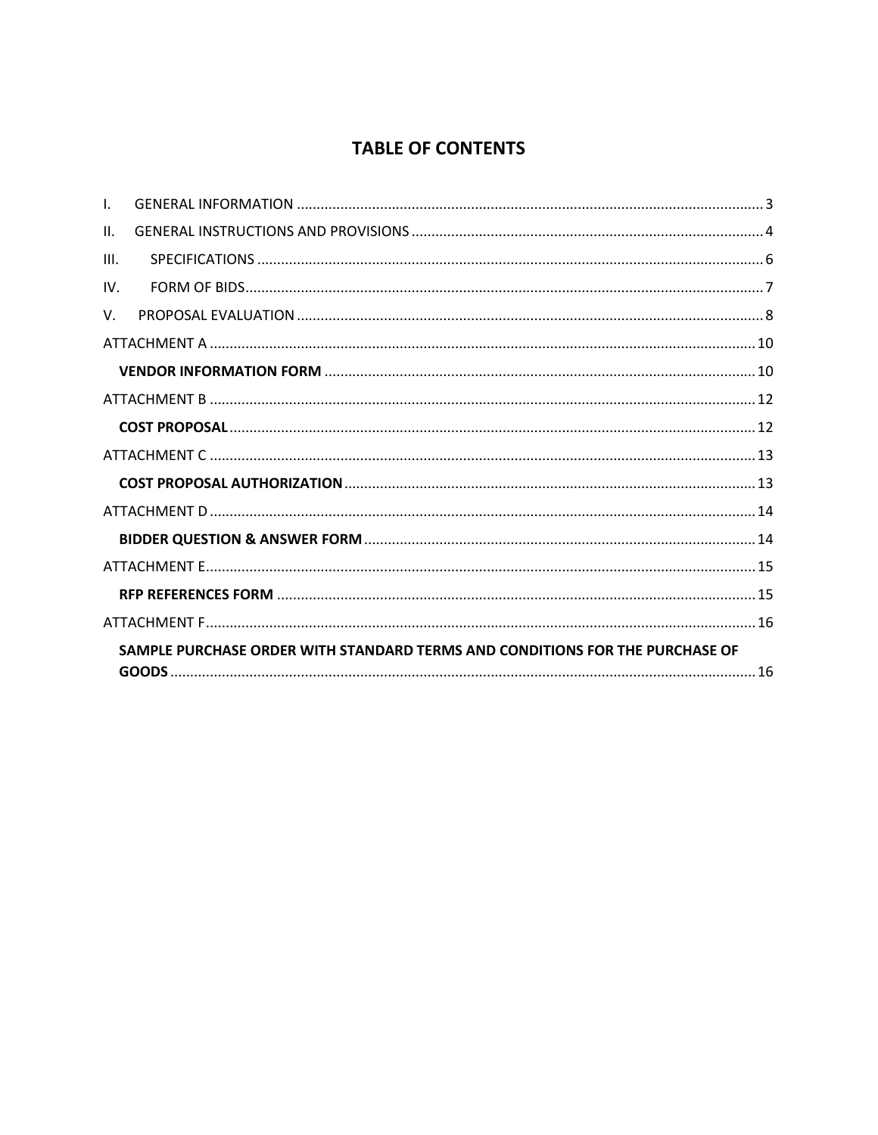## **TABLE OF CONTENTS**

| $\mathbf{L}$ |                                                                              |  |
|--------------|------------------------------------------------------------------------------|--|
| $\Pi$ .      |                                                                              |  |
| III.         |                                                                              |  |
| IV.          |                                                                              |  |
| $V_{\cdot}$  |                                                                              |  |
|              |                                                                              |  |
|              |                                                                              |  |
|              |                                                                              |  |
|              |                                                                              |  |
|              |                                                                              |  |
|              |                                                                              |  |
|              |                                                                              |  |
|              |                                                                              |  |
|              |                                                                              |  |
|              |                                                                              |  |
|              |                                                                              |  |
|              | SAMPLE PURCHASE ORDER WITH STANDARD TERMS AND CONDITIONS FOR THE PURCHASE OF |  |
|              |                                                                              |  |